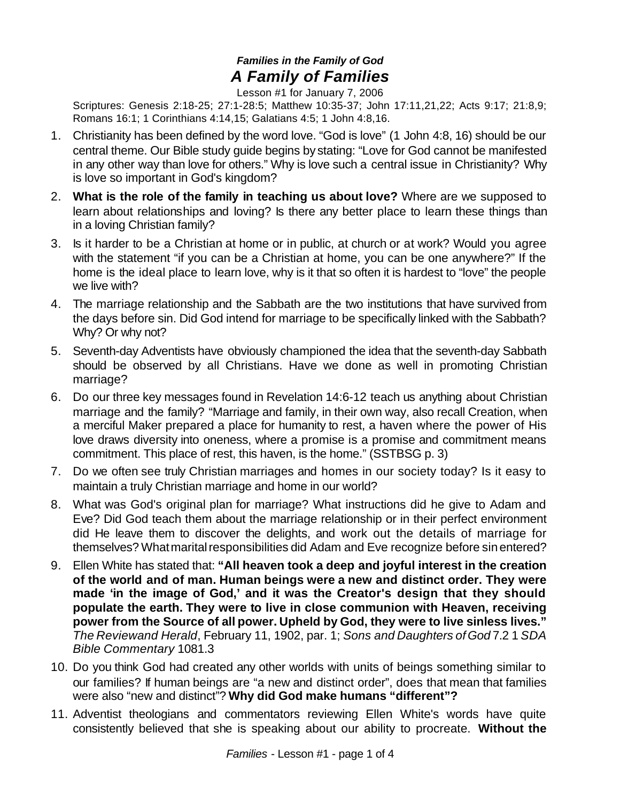## *Families in the Family of God A Family of Families*

Lesson #1 for January 7, 2006

Scriptures: Genesis 2:18-25; 27:1-28:5; Matthew 10:35-37; John 17:11,21,22; Acts 9:17; 21:8,9; Romans 16:1; 1 Corinthians 4:14,15; Galatians 4:5; 1 John 4:8,16.

- 1. Christianity has been defined by the word love. "God is love" (1 John 4:8, 16) should be our central theme. Our Bible study guide begins by stating: "Love for God cannot be manifested in any other way than love for others." Why is love such a central issue in Christianity? Why is love so important in God's kingdom?
- 2. **What is the role of the family in teaching us about love?** Where are we supposed to learn about relationships and loving? Is there any better place to learn these things than in a loving Christian family?
- 3. Is it harder to be a Christian at home or in public, at church or at work? Would you agree with the statement "if you can be a Christian at home, you can be one anywhere?" If the home is the ideal place to learn love, why is it that so often it is hardest to "love" the people we live with?
- 4. The marriage relationship and the Sabbath are the two institutions that have survived from the days before sin. Did God intend for marriage to be specifically linked with the Sabbath? Why? Or why not?
- 5. Seventh-day Adventists have obviously championed the idea that the seventh-day Sabbath should be observed by all Christians. Have we done as well in promoting Christian marriage?
- 6. Do our three key messages found in Revelation 14:6-12 teach us anything about Christian marriage and the family? "Marriage and family, in their own way, also recall Creation, when a merciful Maker prepared a place for humanity to rest, a haven where the power of His love draws diversity into oneness, where a promise is a promise and commitment means commitment. This place of rest, this haven, is the home." (SSTBSG p. 3)
- 7. Do we often see truly Christian marriages and homes in our society today? Is it easy to maintain a truly Christian marriage and home in our world?
- 8. What was God's original plan for marriage? What instructions did he give to Adam and Eve? Did God teach them about the marriage relationship or in their perfect environment did He leave them to discover the delights, and work out the details of marriage for themselves? What marital responsibilities did Adam and Eve recognize before sin entered?
- 9. Ellen White has stated that: **"All heaven took a deep and joyful interest in the creation of the world and of man. Human beings were a new and distinct order. They were made 'in the image of God,' and it was the Creator's design that they should populate the earth. They were to live in close communion with Heaven, receiving power from the Source of all power. Upheld by God, they were to live sinless lives."** *The Reviewand Herald*, February 11, 1902, par. 1; *Sons and Daughters ofGod* 7.2 1 *SDA Bible Commentary* 1081.3
- 10. Do you think God had created any other worlds with units of beings something similar to our families? If human beings are "a new and distinct order", does that mean that families were also "new and distinct"? **Why did God make humans "different"?**
- 11. Adventist theologians and commentators reviewing Ellen White's words have quite consistently believed that she is speaking about our ability to procreate. **Without the**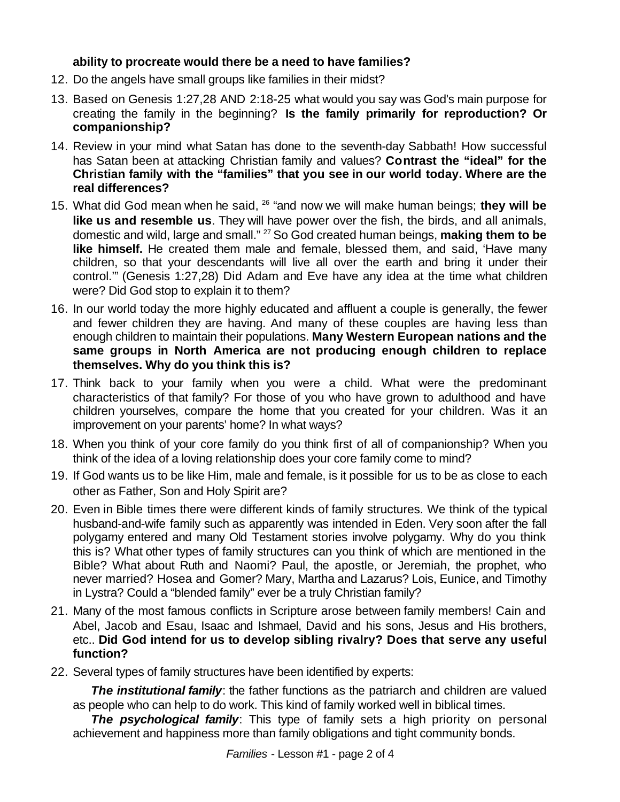## **ability to procreate would there be a need to have families?**

- 12. Do the angels have small groups like families in their midst?
- 13. Based on Genesis 1:27,28 AND 2:18-25 what would you say was God's main purpose for creating the family in the beginning? **Is the family primarily for reproduction? Or companionship?**
- 14. Review in your mind what Satan has done to the seventh-day Sabbath! How successful has Satan been at attacking Christian family and values? **Contrast the "ideal" for the Christian family with the "families" that you see in our world today. Where are the real differences?**
- 15. What did God mean when he said, <sup>26</sup> "and now we will make human beings; **they will be like us and resemble us**. They will have power over the fish, the birds, and all animals, domestic and wild, large and small." <sup>27</sup> So God created human beings, **making them to be like himself.** He created them male and female, blessed them, and said, 'Have many children, so that your descendants will live all over the earth and bring it under their control.'" (Genesis 1:27,28) Did Adam and Eve have any idea at the time what children were? Did God stop to explain it to them?
- 16. In our world today the more highly educated and affluent a couple is generally, the fewer and fewer children they are having. And many of these couples are having less than enough children to maintain their populations. **Many Western European nations and the same groups in North America are not producing enough children to replace themselves. Why do you think this is?**
- 17. Think back to your family when you were a child. What were the predominant characteristics of that family? For those of you who have grown to adulthood and have children yourselves, compare the home that you created for your children. Was it an improvement on your parents' home? In what ways?
- 18. When you think of your core family do you think first of all of companionship? When you think of the idea of a loving relationship does your core family come to mind?
- 19. If God wants us to be like Him, male and female, is it possible for us to be as close to each other as Father, Son and Holy Spirit are?
- 20. Even in Bible times there were different kinds of family structures. We think of the typical husband-and-wife family such as apparently was intended in Eden. Very soon after the fall polygamy entered and many Old Testament stories involve polygamy. Why do you think this is? What other types of family structures can you think of which are mentioned in the Bible? What about Ruth and Naomi? Paul, the apostle, or Jeremiah, the prophet, who never married? Hosea and Gomer? Mary, Martha and Lazarus? Lois, Eunice, and Timothy in Lystra? Could a "blended family" ever be a truly Christian family?
- 21. Many of the most famous conflicts in Scripture arose between family members! Cain and Abel, Jacob and Esau, Isaac and Ishmael, David and his sons, Jesus and His brothers, etc.. **Did God intend for us to develop sibling rivalry? Does that serve any useful function?**
- 22. Several types of family structures have been identified by experts:

**The institutional family**: the father functions as the patriarch and children are valued as people who can help to do work. This kind of family worked well in biblical times.

*The psychological family*: This type of family sets a high priority on personal achievement and happiness more than family obligations and tight community bonds.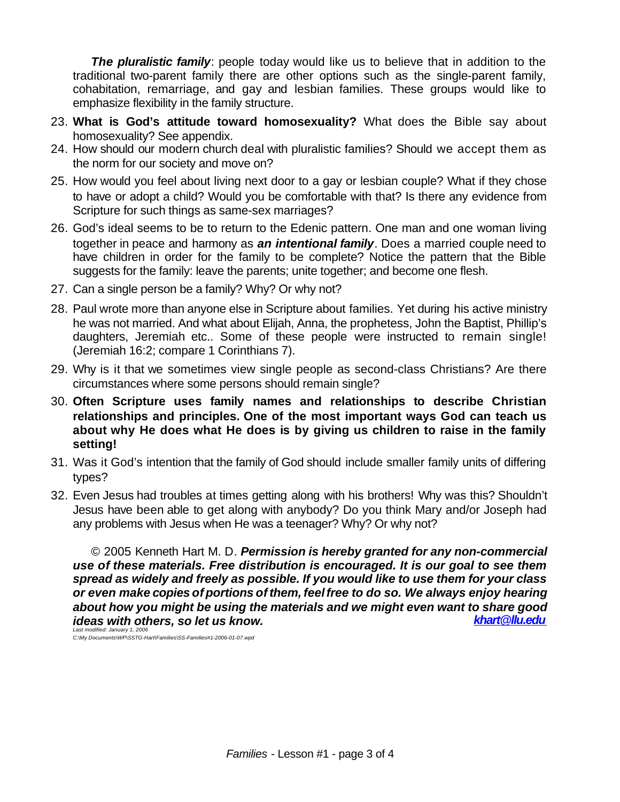*The pluralistic family*: people today would like us to believe that in addition to the traditional two-parent family there are other options such as the single-parent family, cohabitation, remarriage, and gay and lesbian families. These groups would like to emphasize flexibility in the family structure.

- 23. **What is God's attitude toward homosexuality?** What does the Bible say about homosexuality? See appendix.
- 24. How should our modern church deal with pluralistic families? Should we accept them as the norm for our society and move on?
- 25. How would you feel about living next door to a gay or lesbian couple? What if they chose to have or adopt a child? Would you be comfortable with that? Is there any evidence from Scripture for such things as same-sex marriages?
- 26. God's ideal seems to be to return to the Edenic pattern. One man and one woman living together in peace and harmony as *an intentional family*. Does a married couple need to have children in order for the family to be complete? Notice the pattern that the Bible suggests for the family: leave the parents; unite together; and become one flesh.
- 27. Can a single person be a family? Why? Or why not?
- 28. Paul wrote more than anyone else in Scripture about families. Yet during his active ministry he was not married. And what about Elijah, Anna, the prophetess, John the Baptist, Phillip's daughters, Jeremiah etc.. Some of these people were instructed to remain single! (Jeremiah 16:2; compare 1 Corinthians 7).
- 29. Why is it that we sometimes view single people as second-class Christians? Are there circumstances where some persons should remain single?
- 30. **Often Scripture uses family names and relationships to describe Christian relationships and principles. One of the most important ways God can teach us about why He does what He does is by giving us children to raise in the family setting!**
- 31. Was it God's intention that the family of God should include smaller family units of differing types?
- 32. Even Jesus had troubles at times getting along with his brothers! Why was this? Shouldn't Jesus have been able to get along with anybody? Do you think Mary and/or Joseph had any problems with Jesus when He was a teenager? Why? Or why not?

© 2005 Kenneth Hart M. D. *Permission is hereby granted for any non-commercial use of these materials. Free distribution is encouraged. It is our goal to see them spread as widely and freely as possible. If you would like to use them for your class or even make copies of portions ofthem, feelfree to do so. We always enjoy hearing about how you might be using the materials and we might even want to share good ideas with others, so let us know.* 

*Last modified: January 1, 2006 C:\My Documents\WP\SSTG-Hart\Families\SS-Families#1-2006-01-07.wpd*